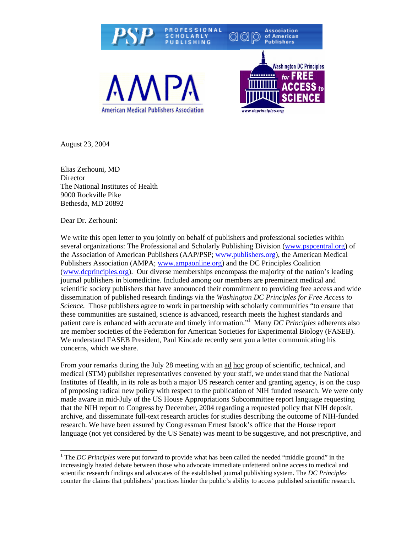

August 23, 2004

Elias Zerhouni, MD **Director** The National Institutes of Health 9000 Rockville Pike Bethesda, MD 20892

Dear Dr. Zerhouni:

We write this open letter to you jointly on behalf of publishers and professional societies within several organizations: The Professional and Scholarly Publishing Division ([www.pspcentral.org\)](http://www.pspcentral.org/) of the Association of American Publishers (AAP/PSP; [www.publishers.org\)](http://www.publishers.org/), the American Medical Publishers Association (AMPA; [www.ampaonline.org\)](http://www.ampaonline.org/) and the DC Principles Coalition ([www.dcprinciples.org](http://www.dcprinciples.org/)). Our diverse memberships encompass the majority of the nation's leading journal publishers in biomedicine. Included among our members are preeminent medical and scientific society publishers that have announced their commitment to providing free access and wide dissemination of published research findings via the *Washington DC Principles for Free Access to Science.* Those publishers agree to work in partnership with scholarly communities "to ensure that these communities are sustained, science is advanced, research meets the highest standards and patient care is enhanced with accurate and timely information."[1](#page-0-0) Many *DC Principles* adherents also are member societies of the Federation for American Societies for Experimental Biology (FASEB). We understand FASEB President, Paul Kincade recently sent you a letter communicating his concerns, which we share.

From your remarks during the July 28 meeting with an ad hoc group of scientific, technical, and medical (STM) publisher representatives convened by your staff, we understand that the National Institutes of Health, in its role as both a major US research center and granting agency, is on the cusp of proposing radical new policy with respect to the publication of NIH funded research. We were only made aware in mid-July of the US House Appropriations Subcommittee report language requesting that the NIH report to Congress by December, 2004 regarding a requested policy that NIH deposit, archive, and disseminate full-text research articles for studies describing the outcome of NIH-funded research. We have been assured by Congressman Ernest Istook's office that the House report language (not yet considered by the US Senate) was meant to be suggestive, and not prescriptive, and

<span id="page-0-0"></span> $\frac{1}{1}$ <sup>1</sup> The *DC Principles* were put forward to provide what has been called the needed "middle ground" in the increasingly heated debate between those who advocate immediate unfettered online access to medical and scientific research findings and advocates of the established journal publishing system. The *DC Principles* counter the claims that publishers' practices hinder the public's ability to access published scientific research.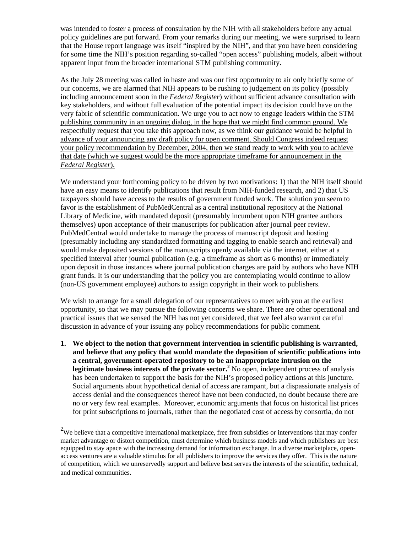was intended to foster a process of consultation by the NIH with all stakeholders before any actual policy guidelines are put forward. From your remarks during our meeting, we were surprised to learn that the House report language was itself "inspired by the NIH", and that you have been considering for some time the NIH's position regarding so-called "open access" publishing models, albeit without apparent input from the broader international STM publishing community.

As the July 28 meeting was called in haste and was our first opportunity to air only briefly some of our concerns, we are alarmed that NIH appears to be rushing to judgement on its policy (possibly including announcement soon in the *Federal Register*) without sufficient advance consultation with key stakeholders, and without full evaluation of the potential impact its decision could have on the very fabric of scientific communication. We urge you to act now to engage leaders within the STM publishing community in an ongoing dialog, in the hope that we might find common ground. We respectfully request that you take this approach now, as we think our guidance would be helpful in advance of your announcing any draft policy for open comment. Should Congress indeed request your policy recommendation by December, 2004, then we stand ready to work with you to achieve that date (which we suggest would be the more appropriate timeframe for announcement in the *Federal Register*).

We understand your forthcoming policy to be driven by two motivations: 1) that the NIH itself should have an easy means to identify publications that result from NIH-funded research, and 2) that US taxpayers should have access to the results of government funded work. The solution you seem to favor is the establishment of PubMedCentral as a central institutional repository at the National Library of Medicine, with mandated deposit (presumably incumbent upon NIH grantee authors themselves) upon acceptance of their manuscripts for publication after journal peer review. PubMedCentral would undertake to manage the process of manuscript deposit and hosting (presumably including any standardized formatting and tagging to enable search and retrieval) and would make deposited versions of the manuscripts openly available via the internet, either at a specified interval after journal publication (e.g. a timeframe as short as 6 months) or immediately upon deposit in those instances where journal publication charges are paid by authors who have NIH grant funds. It is our understanding that the policy you are contemplating would continue to allow (non-US government employee) authors to assign copyright in their work to publishers.

We wish to arrange for a small delegation of our representatives to meet with you at the earliest opportunity, so that we may pursue the following concerns we share. There are other operational and practical issues that we sensed the NIH has not yet considered, that we feel also warrant careful discussion in advance of your issuing any policy recommendations for public comment.

**1. We object to the notion that government intervention in scientific publishing is warranted, and believe that any policy that would mandate the deposition of scientific publications into a central, government-operated repository to be an inappropriate intrusion on the**  legitimate business interests of the private sector.<sup>[2](#page-1-0)</sup> No open, independent process of analysis has been undertaken to support the basis for the NIH's proposed policy actions at this juncture. Social arguments about hypothetical denial of access are rampant, but a dispassionate analysis of access denial and the consequences thereof have not been conducted, no doubt because there are no or very few real examples. Moreover, economic arguments that focus on historical list prices for print subscriptions to journals, rather than the negotiated cost of access by consortia, do not

 $\overline{\phantom{a}}$ 

<span id="page-1-0"></span> $2$ We believe that a competitive international marketplace, free from subsidies or interventions that may confer market advantage or distort competition, must determine which business models and which publishers are best equipped to stay apace with the increasing demand for information exchange. In a diverse marketplace, openaccess ventures are a valuable stimulus for all publishers to improve the services they offer. This is the nature of competition, which we unreservedly support and believe best serves the interests of the scientific, technical, and medical communities*.*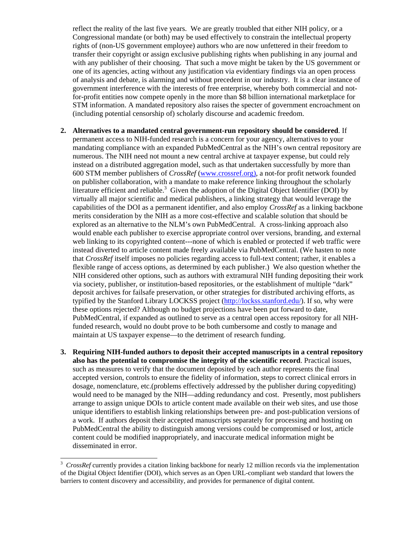reflect the reality of the last five years. We are greatly troubled that either NIH policy, or a Congressional mandate (or both) may be used effectively to constrain the intellectual property rights of (non-US government employee) authors who are now unfettered in their freedom to transfer their copyright or assign exclusive publishing rights when publishing in any journal and with any publisher of their choosing. That such a move might be taken by the US government or one of its agencies, acting without any justification via evidentiary findings via an open process of analysis and debate, is alarming and without precedent in our industry. It is a clear instance of government interference with the interests of free enterprise, whereby both commercial and notfor-profit entities now compete openly in the more than \$8 billion international marketplace for STM information. A mandated repository also raises the specter of government encroachment on (including potential censorship of) scholarly discourse and academic freedom.

- **2. Alternatives to a mandated central government-run repository should be considered**. If permanent access to NIH-funded research is a concern for your agency, alternatives to your mandating compliance with an expanded PubMedCentral as the NIH's own central repository are numerous. The NIH need not mount a new central archive at taxpayer expense, but could rely instead on a distributed aggregation model, such as that undertaken successfully by more than 600 STM member publishers of *CrossRef* [\(www.crossref.org\),](http://www.crossref.org)/) a not-for profit network founded on publisher collaboration, with a mandate to make reference linking throughout the scholarly literature efficient and reliable.<sup>[3](#page-2-0)</sup> Given the adoption of the Digital Object Identifier (DOI) by virtually all major scientific and medical publishers, a linking strategy that would leverage the capabilities of the DOI as a permanent identifier, and also employ *CrossRef* as a linking backbone merits consideration by the NIH as a more cost-effective and scalable solution that should be explored as an alternative to the NLM's own PubMedCentral. A cross-linking approach also would enable each publisher to exercise appropriate control over versions, branding, and external web linking to its copyrighted content---none of which is enabled or protected if web traffic were instead diverted to article content made freely available via PubMedCentral. (We hasten to note that *CrossRef* itself imposes no policies regarding access to full-text content; rather, it enables a flexible range of access options, as determined by each publisher.) We also question whether the NIH considered other options, such as authors with extramural NIH funding depositing their work via society, publisher, or institution-based repositories, or the establishment of multiple "dark" deposit archives for failsafe preservation, or other strategies for distributed archiving efforts, as typified by the Stanford Library LOCKSS project [\(http://lockss.stanford.edu/\)](http://lockss.stanford.edu/). If so, why were these options rejected? Although no budget projections have been put forward to date, PubMedCentral, if expanded as outlined to serve as a central open access repository for all NIHfunded research, would no doubt prove to be both cumbersome and costly to manage and maintain at US taxpayer expense—to the detriment of research funding.
- **3. Requiring NIH-funded authors to deposit their accepted manuscripts in a central repository also has the potential to compromise the integrity of the scientific record**. Practical issues, such as measures to verify that the document deposited by each author represents the final accepted version, controls to ensure the fidelity of information, steps to correct clinical errors in dosage, nomenclature, etc.(problems effectively addressed by the publisher during copyediting) would need to be managed by the NIH—adding redundancy and cost. Presently, most publishers arrange to assign unique DOIs to article content made available on their web sites, and use those unique identifiers to establish linking relationships between pre- and post-publication versions of a work. If authors deposit their accepted manuscripts separately for processing and hosting on PubMedCentral the ability to distinguish among versions could be compromised or lost, article content could be modified inappropriately, and inaccurate medical information might be disseminated in error.

<span id="page-2-0"></span> $\mathfrak{Z}$ <sup>3</sup> *CrossRef* currently provides a citation linking backbone for nearly 12 million records via the implementation of the Digital Object Identifier (DOI), which serves as an Open URL-compliant web standard that lowers the barriers to content discovery and accessibility, and provides for permanence of digital content.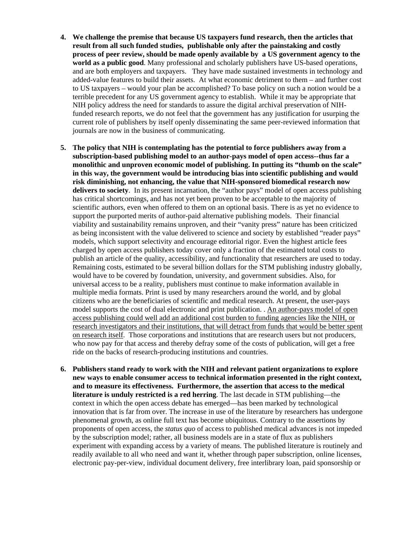- **4. We challenge the premise that because US taxpayers fund research, then the articles that result from all such funded studies, publishable only after the painstaking and costly process of peer review, should be made openly available by a US government agency to the world as a public good**. Many professional and scholarly publishers have US-based operations, and are both employers and taxpayers. They have made sustained investments in technology and added-value features to build their assets. At what economic detriment to them – and further cost to US taxpayers – would your plan be accomplished? To base policy on such a notion would be a terrible precedent for any US government agency to establish. While it may be appropriate that NIH policy address the need for standards to assure the digital archival preservation of NIHfunded research reports, we do not feel that the government has any justification for usurping the current role of publishers by itself openly disseminating the same peer-reviewed information that journals are now in the business of communicating.
- **5. The policy that NIH is contemplating has the potential to force publishers away from a subscription-based publishing model to an author-pays model of open access--thus far a monolithic and unproven economic model of publishing. In putting its "thumb on the scale" in this way, the government would be introducing bias into scientific publishing and would risk diminishing, not enhancing, the value that NIH-sponsored biomedical research now delivers to society**. In its present incarnation, the "author pays" model of open access publishing has critical shortcomings, and has not yet been proven to be acceptable to the majority of scientific authors, even when offered to them on an optional basis. There is as yet no evidence to support the purported merits of author-paid alternative publishing models. Their financial viability and sustainability remains unproven, and their "vanity press" nature has been criticized as being inconsistent with the value delivered to science and society by established "reader pays" models, which support selectivity and encourage editorial rigor. Even the highest article fees charged by open access publishers today cover only a fraction of the estimated total costs to publish an article of the quality, accessibility, and functionality that researchers are used to today. Remaining costs, estimated to be several billion dollars for the STM publishing industry globally, would have to be covered by foundation, university, and government subsidies. Also, for universal access to be a reality, publishers must continue to make information available in multiple media formats. Print is used by many researchers around the world, and by global citizens who are the beneficiaries of scientific and medical research. At present, the user-pays model supports the cost of dual electronic and print publication. . An author-pays model of open access publishing could well add an additional cost burden to funding agencies like the NIH, or research investigators and their institutions, that will detract from funds that would be better spent on research itself. Those corporations and institutions that are research users but not producers, who now pay for that access and thereby defray some of the costs of publication, will get a free ride on the backs of research-producing institutions and countries.
- **6. Publishers stand ready to work with the NIH and relevant patient organizations to explore new ways to enable consumer access to technical information presented in the right context, and to measure its effectiveness. Furthermore, the assertion that access to the medical literature is unduly restricted is a red herring**. The last decade in STM publishing—the context in which the open access debate has emerged—has been marked by technological innovation that is far from over. The increase in use of the literature by researchers has undergone phenomenal growth, as online full text has become ubiquitous. Contrary to the assertions by proponents of open access, the *status quo* of access to published medical advances is not impeded by the subscription model; rather, all business models are in a state of flux as publishers experiment with expanding access by a variety of means. The published literature is routinely and readily available to all who need and want it, whether through paper subscription, online licenses, electronic pay-per-view, individual document delivery, free interlibrary loan, paid sponsorship or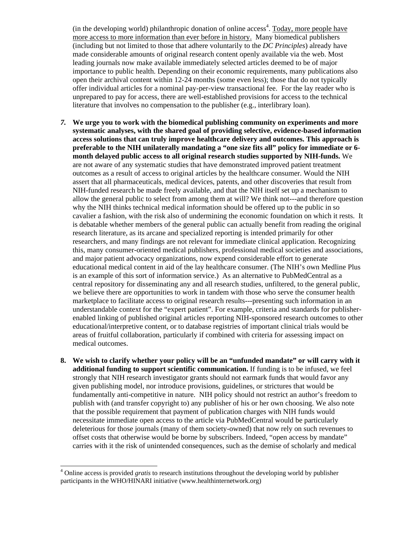(in the developing world) philanthropic donation of online  $access<sup>4</sup>$  $access<sup>4</sup>$  $access<sup>4</sup>$ . Today, more people have more access to more information than ever before in history. Many biomedical publishers (including but not limited to those that adhere voluntarily to the *DC Principles*) already have made considerable amounts of original research content openly available via the web. Most leading journals now make available immediately selected articles deemed to be of major importance to public health. Depending on their economic requirements, many publications also open their archival content within 12-24 months (some even less); those that do not typically offer individual articles for a nominal pay-per-view transactional fee. For the lay reader who is unprepared to pay for access, there are well-established provisions for access to the technical literature that involves no compensation to the publisher (e.g., interlibrary loan).

- *7.* **We urge you to work with the biomedical publishing community on experiments and more systematic analyses, with the shared goal of providing selective, evidence-based information access solutions that can truly improve healthcare delivery and outcomes. This approach is preferable to the NIH unilaterally mandating a "one size fits all" policy for immediate or 6 month delayed public access to all original research studies supported by NIH-funds.** We are not aware of any systematic studies that have demonstrated improved patient treatment outcomes as a result of access to original articles by the healthcare consumer. Would the NIH assert that all pharmaceuticals, medical devices, patents, and other discoveries that result from NIH-funded research be made freely available, and that the NIH itself set up a mechanism to allow the general public to select from among them at will? We think not---and therefore question why the NIH thinks technical medical information should be offered up to the public in so cavalier a fashion, with the risk also of undermining the economic foundation on which it rests. It is debatable whether members of the general public can actually benefit from reading the original research literature, as its arcane and specialized reporting is intended primarily for other researchers, and many findings are not relevant for immediate clinical application. Recognizing this, many consumer-oriented medical publishers, professional medical societies and associations, and major patient advocacy organizations, now expend considerable effort to generate educational medical content in aid of the lay healthcare consumer. (The NIH's own Medline Plus is an example of this sort of information service.) As an alternative to PubMedCentral as a central repository for disseminating any and all research studies, unfiltered, to the general public, we believe there are opportunities to work in tandem with those who serve the consumer health marketplace to facilitate access to original research results---presenting such information in an understandable context for the "expert patient". For example, criteria and standards for publisherenabled linking of published original articles reporting NIH-sponsored research outcomes to other educational/interpretive content, or to database registries of important clinical trials would be areas of fruitful collaboration, particularly if combined with criteria for assessing impact on medical outcomes.
- **8. We wish to clarify whether your policy will be an "unfunded mandate" or will carry with it additional funding to support scientific communication.** If funding is to be infused, we feel strongly that NIH research investigator grants should not earmark funds that would favor any given publishing model, nor introduce provisions, guidelines, or strictures that would be fundamentally anti-competitive in nature. NIH policy should not restrict an author's freedom to publish with (and transfer copyright to) any publisher of his or her own choosing. We also note that the possible requirement that payment of publication charges with NIH funds would necessitate immediate open access to the article via PubMedCentral would be particularly deleterious for those journals (many of them society-owned) that now rely on such revenues to offset costs that otherwise would be borne by subscribers. Indeed, "open access by mandate" carries with it the risk of unintended consequences, such as the demise of scholarly and medical

 $\overline{\phantom{a}}$ 

<span id="page-4-0"></span><sup>&</sup>lt;sup>4</sup> Online access is provided *gratis* to research institutions throughout the developing world by publisher participants in the WHO/HINARI initiative (www.healthinternetwork.org)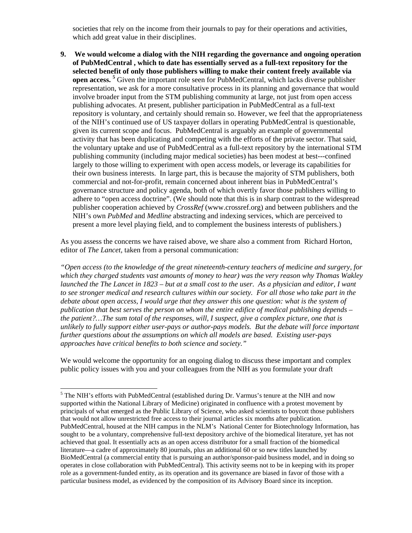societies that rely on the income from their journals to pay for their operations and activities, which add great value in their disciplines.

**9. We would welcome a dialog with the NIH regarding the governance and ongoing operation of PubMedCentral , which to date has essentially served as a full-text repository for the selected benefit of only those publishers willing to make their content freely available via open access. [5](#page-5-0)** Given the important role seen for PubMedCentral, which lacks diverse publisher representation, we ask for a more consultative process in its planning and governance that would involve broader input from the STM publishing community at large, not just from open access publishing advocates. At present, publisher participation in PubMedCentral as a full-text repository is voluntary, and certainly should remain so. However, we feel that the appropriateness of the NIH's continued use of US taxpayer dollars in operating PubMedCentral is questionable, given its current scope and focus. PubMedCentral is arguably an example of governmental activity that has been duplicating and competing with the efforts of the private sector. That said, the voluntary uptake and use of PubMedCentral as a full-text repository by the international STM publishing community (including major medical societies) has been modest at best---confined largely to those willing to experiment with open access models, or leverage its capabilities for their own business interests. In large part, this is because the majority of STM publishers, both commercial and not-for-profit, remain concerned about inherent bias in PubMedCentral's governance structure and policy agenda, both of which overtly favor those publishers willing to adhere to "open access doctrine". (We should note that this is in sharp contrast to the widespread publisher cooperation achieved by *CrossRef* (www.crossref.org) and between publishers and the NIH's own *PubMed* and *Medline* abstracting and indexing services, which are perceived to present a more level playing field, and to complement the business interests of publishers.)

As you assess the concerns we have raised above, we share also a comment from Richard Horton, editor of *The Lancet,* taken from a personal communication:

*"Open access (to the knowledge of the great nineteenth-century teachers of medicine and surgery, for which they charged students vast amounts of money to hear) was the very reason why Thomas Wakley*  launched the The Lancet in 1823 – but at a small cost to the user. As a physician and editor, I want *to see stronger medical and research cultures within our society. For all those who take part in the*  debate about open access, I would urge that they answer this one question: what is the system of *publication that best serves the person on whom the entire edifice of medical publishing depends – the patient?…The sum total of the responses, will, I suspect, give a complex picture, one that is unlikely to fully support either user-pays or author-pays models. But the debate will force important further questions about the assumptions on which all models are based. Existing user-pays approaches have critical benefits to both science and society."* 

We would welcome the opportunity for an ongoing dialog to discuss these important and complex public policy issues with you and your colleagues from the NIH as you formulate your draft

 $\overline{\phantom{a}}$ 

<span id="page-5-0"></span><sup>&</sup>lt;sup>5</sup> The NIH's efforts with PubMedCentral (established during Dr. Varmus's tenure at the NIH and now supported within the National Library of Medicine) originated in confluence with a protest movement by principals of what emerged as the Public Library of Science, who asked scientists to boycott those publishers that would not allow unrestricted free access to their journal articles six months after publication. PubMedCentral, housed at the NIH campus in the NLM's National Center for Biotechnology Information, has sought to be a voluntary, comprehensive full-text depository archive of the biomedical literature, yet has not achieved that goal. It essentially acts as an open access distributor for a small fraction of the biomedical literature—a cadre of approximately 80 journals, plus an additional 60 or so new titles launched by BioMedCentral (a commercial entity that is pursuing an author/sponsor-paid business model, and in doing so operates in close collaboration with PubMedCentral). This activity seems not to be in keeping with its proper role as a government-funded entity, as its operation and its governance are biased in favor of those with a particular business model, as evidenced by the composition of its Advisory Board since its inception.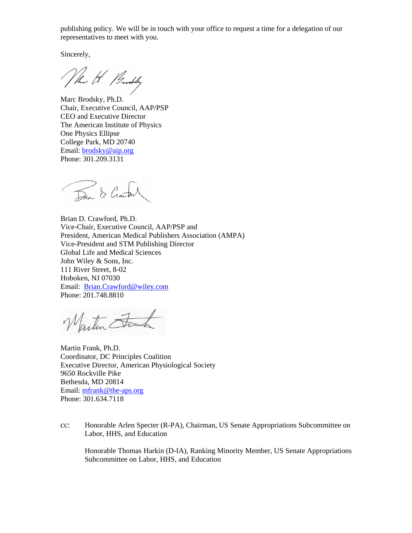publishing policy. We will be in touch with your office to request a time for a delegation of our representatives to meet with you.

Sincerely,

Marc Brodsky, Ph.D. Chair, Executive Council, AAP/PSP CEO and Executive Director The American Institute of Physics One Physics Ellipse College Park, MD 20740 Email: [brodsky@aip.org](mailto:brodsky@aip.org) Phone: 301.209.3131

Dian & Crawborn

Brian D. Crawford, Ph.D. Vice-Chair, Executive Council, AAP/PSP and President, American Medical Publishers Association (AMPA) Vice-President and STM Publishing Director Global Life and Medical Sciences John Wiley & Sons, Inc. 111 River Street, 8-02 Hoboken, NJ 07030 Email: [Brian.Crawford@wiley.com](mailto:Brian.Crawford@wiley.com) Phone: 201.748.8810

Martin Fra

Martin Frank, Ph.D. Coordinator, DC Principles Coalition Executive Director, American Physiological Society 9650 Rockville Pike Bethesda, MD 20814 Email: [mfrank@the-aps.org](mailto:mfrank@the-aps.org) Phone: 301.634.7118

cc: Honorable Arlen Specter (R-PA), Chairman, US Senate Appropriations Subcommittee on Labor, HHS, and Education

Honorable Thomas Harkin (D-IA), Ranking Minority Member, US Senate Appropriations Subcommittee on Labor, HHS, and Education